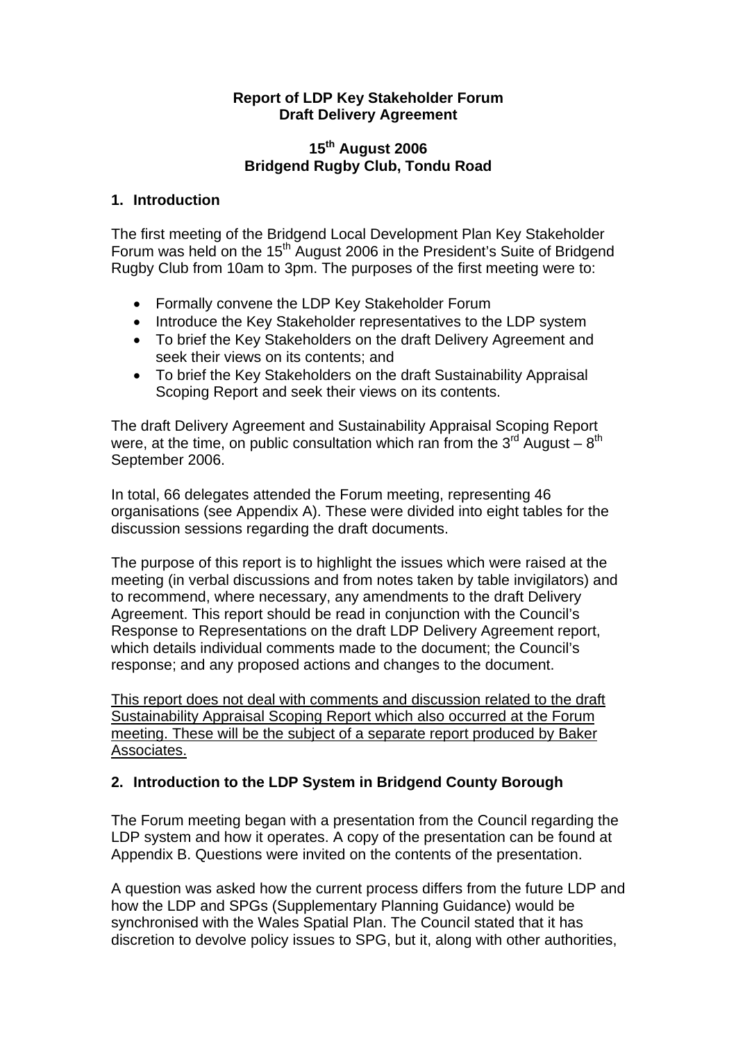### **Report of LDP Key Stakeholder Forum Draft Delivery Agreement**

## **15th August 2006 Bridgend Rugby Club, Tondu Road**

### **1. Introduction**

The first meeting of the Bridgend Local Development Plan Key Stakeholder Forum was held on the 15<sup>th</sup> August 2006 in the President's Suite of Bridgend Rugby Club from 10am to 3pm. The purposes of the first meeting were to:

- Formally convene the LDP Key Stakeholder Forum
- Introduce the Key Stakeholder representatives to the LDP system
- To brief the Key Stakeholders on the draft Delivery Agreement and seek their views on its contents; and
- To brief the Key Stakeholders on the draft Sustainability Appraisal Scoping Report and seek their views on its contents.

The draft Delivery Agreement and Sustainability Appraisal Scoping Report were, at the time, on public consultation which ran from the  $3^{rd}$  August –  $8^{th}$ September 2006.

In total, 66 delegates attended the Forum meeting, representing 46 organisations (see Appendix A). These were divided into eight tables for the discussion sessions regarding the draft documents.

The purpose of this report is to highlight the issues which were raised at the meeting (in verbal discussions and from notes taken by table invigilators) and to recommend, where necessary, any amendments to the draft Delivery Agreement. This report should be read in conjunction with the Council's Response to Representations on the draft LDP Delivery Agreement report, which details individual comments made to the document; the Council's response; and any proposed actions and changes to the document.

This report does not deal with comments and discussion related to the draft Sustainability Appraisal Scoping Report which also occurred at the Forum meeting. These will be the subject of a separate report produced by Baker Associates.

# **2. Introduction to the LDP System in Bridgend County Borough**

The Forum meeting began with a presentation from the Council regarding the LDP system and how it operates. A copy of the presentation can be found at Appendix B. Questions were invited on the contents of the presentation.

A question was asked how the current process differs from the future LDP and how the LDP and SPGs (Supplementary Planning Guidance) would be synchronised with the Wales Spatial Plan. The Council stated that it has discretion to devolve policy issues to SPG, but it, along with other authorities,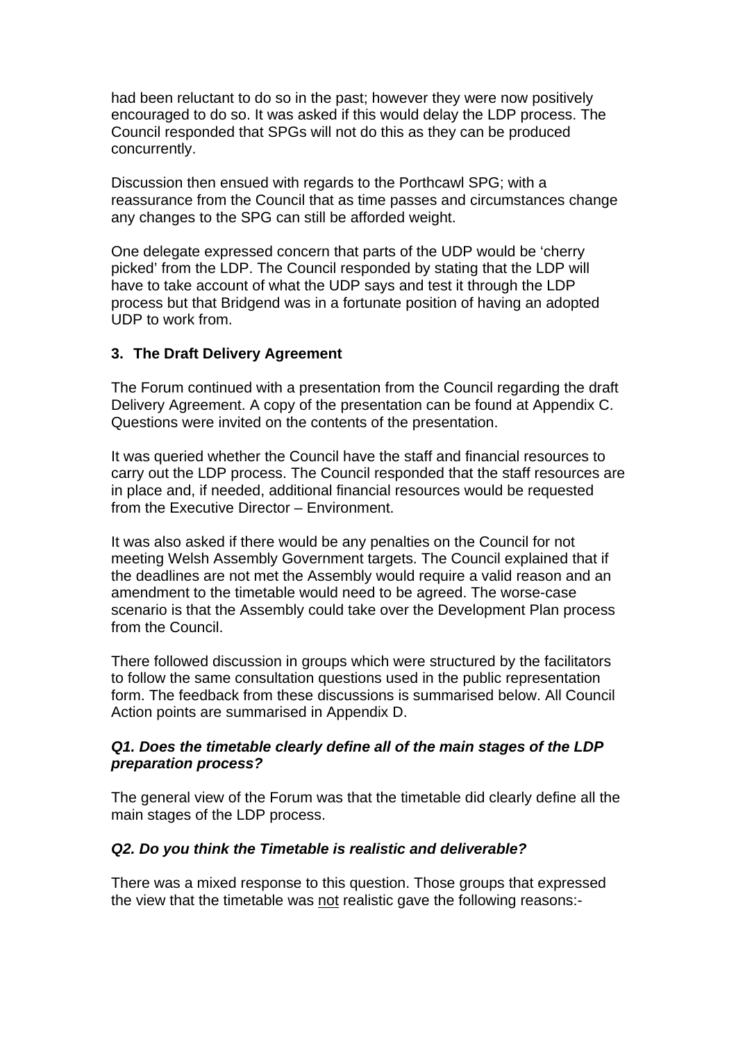had been reluctant to do so in the past; however they were now positively encouraged to do so. It was asked if this would delay the LDP process. The Council responded that SPGs will not do this as they can be produced concurrently.

Discussion then ensued with regards to the Porthcawl SPG; with a reassurance from the Council that as time passes and circumstances change any changes to the SPG can still be afforded weight.

One delegate expressed concern that parts of the UDP would be 'cherry picked' from the LDP. The Council responded by stating that the LDP will have to take account of what the UDP says and test it through the LDP process but that Bridgend was in a fortunate position of having an adopted UDP to work from.

# **3. The Draft Delivery Agreement**

The Forum continued with a presentation from the Council regarding the draft Delivery Agreement. A copy of the presentation can be found at Appendix C. Questions were invited on the contents of the presentation.

It was queried whether the Council have the staff and financial resources to carry out the LDP process. The Council responded that the staff resources are in place and, if needed, additional financial resources would be requested from the Executive Director – Environment.

It was also asked if there would be any penalties on the Council for not meeting Welsh Assembly Government targets. The Council explained that if the deadlines are not met the Assembly would require a valid reason and an amendment to the timetable would need to be agreed. The worse-case scenario is that the Assembly could take over the Development Plan process from the Council.

There followed discussion in groups which were structured by the facilitators to follow the same consultation questions used in the public representation form. The feedback from these discussions is summarised below. All Council Action points are summarised in Appendix D.

# *Q1. Does the timetable clearly define all of the main stages of the LDP preparation process?*

The general view of the Forum was that the timetable did clearly define all the main stages of the LDP process.

### *Q2. Do you think the Timetable is realistic and deliverable?*

There was a mixed response to this question. Those groups that expressed the view that the timetable was not realistic gave the following reasons:-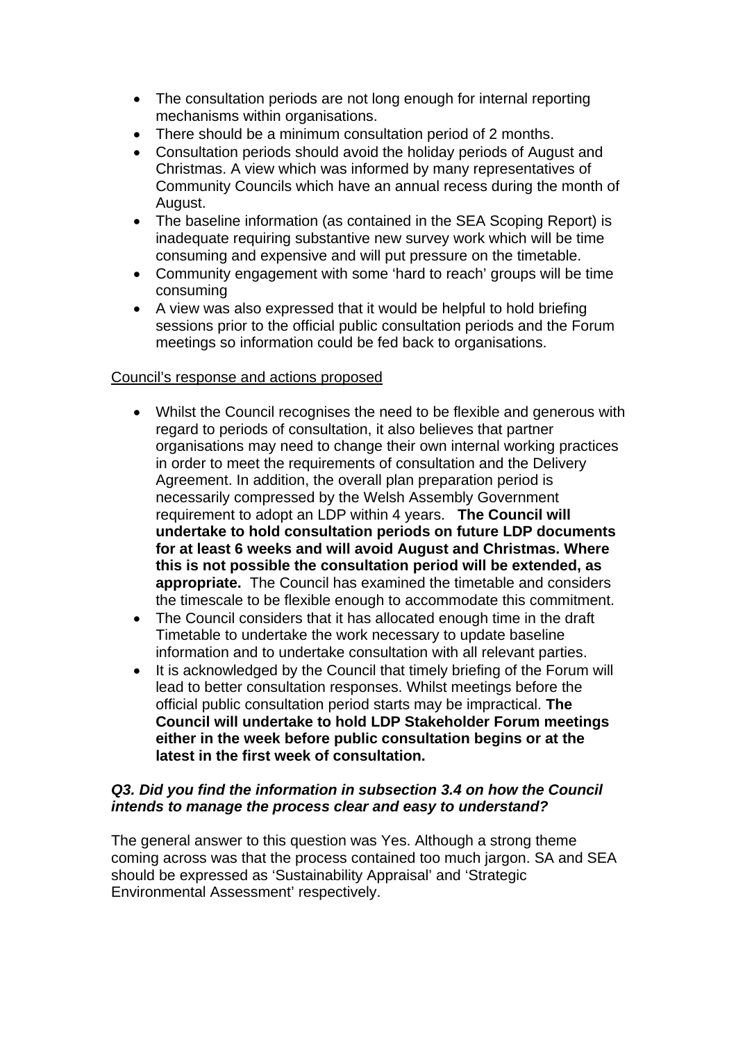- The consultation periods are not long enough for internal reporting mechanisms within organisations.
- There should be a minimum consultation period of 2 months.
- Consultation periods should avoid the holiday periods of August and Christmas. A view which was informed by many representatives of Community Councils which have an annual recess during the month of August.
- The baseline information (as contained in the SEA Scoping Report) is inadequate requiring substantive new survey work which will be time consuming and expensive and will put pressure on the timetable.
- Community engagement with some 'hard to reach' groups will be time consuming
- A view was also expressed that it would be helpful to hold briefing sessions prior to the official public consultation periods and the Forum meetings so information could be fed back to organisations.

# Council's response and actions proposed

- Whilst the Council recognises the need to be flexible and generous with regard to periods of consultation, it also believes that partner organisations may need to change their own internal working practices in order to meet the requirements of consultation and the Delivery Agreement. In addition, the overall plan preparation period is necessarily compressed by the Welsh Assembly Government requirement to adopt an LDP within 4 years. **The Council will undertake to hold consultation periods on future LDP documents for at least 6 weeks and will avoid August and Christmas. Where this is not possible the consultation period will be extended, as appropriate.** The Council has examined the timetable and considers the timescale to be flexible enough to accommodate this commitment.
- The Council considers that it has allocated enough time in the draft Timetable to undertake the work necessary to update baseline information and to undertake consultation with all relevant parties.
- It is acknowledged by the Council that timely briefing of the Forum will lead to better consultation responses. Whilst meetings before the official public consultation period starts may be impractical. **The Council will undertake to hold LDP Stakeholder Forum meetings either in the week before public consultation begins or at the latest in the first week of consultation.**

# *Q3. Did you find the information in subsection 3.4 on how the Council intends to manage the process clear and easy to understand?*

The general answer to this question was Yes. Although a strong theme coming across was that the process contained too much jargon. SA and SEA should be expressed as 'Sustainability Appraisal' and 'Strategic Environmental Assessment' respectively.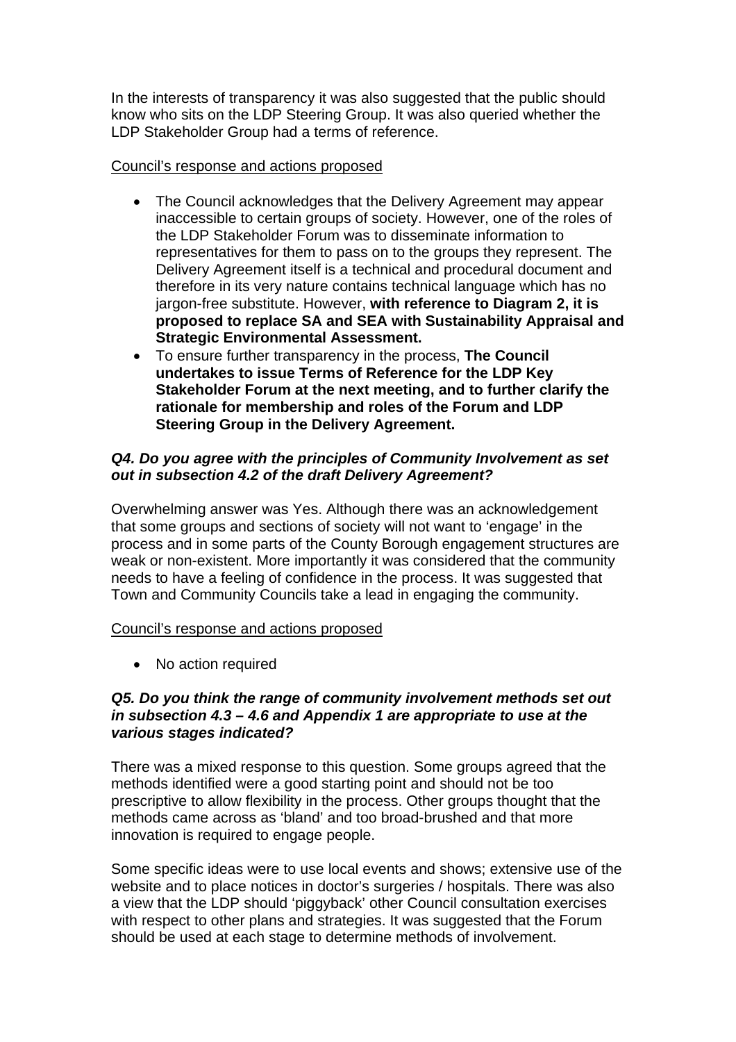In the interests of transparency it was also suggested that the public should know who sits on the LDP Steering Group. It was also queried whether the LDP Stakeholder Group had a terms of reference.

### Council's response and actions proposed

- The Council acknowledges that the Delivery Agreement may appear inaccessible to certain groups of society. However, one of the roles of the LDP Stakeholder Forum was to disseminate information to representatives for them to pass on to the groups they represent. The Delivery Agreement itself is a technical and procedural document and therefore in its very nature contains technical language which has no jargon-free substitute. However, **with reference to Diagram 2, it is proposed to replace SA and SEA with Sustainability Appraisal and Strategic Environmental Assessment.**
- To ensure further transparency in the process, **The Council undertakes to issue Terms of Reference for the LDP Key Stakeholder Forum at the next meeting, and to further clarify the rationale for membership and roles of the Forum and LDP Steering Group in the Delivery Agreement.**

## *Q4. Do you agree with the principles of Community Involvement as set out in subsection 4.2 of the draft Delivery Agreement?*

Overwhelming answer was Yes. Although there was an acknowledgement that some groups and sections of society will not want to 'engage' in the process and in some parts of the County Borough engagement structures are weak or non-existent. More importantly it was considered that the community needs to have a feeling of confidence in the process. It was suggested that Town and Community Councils take a lead in engaging the community.

### Council's response and actions proposed

• No action required

### *Q5. Do you think the range of community involvement methods set out in subsection 4.3 – 4.6 and Appendix 1 are appropriate to use at the various stages indicated?*

There was a mixed response to this question. Some groups agreed that the methods identified were a good starting point and should not be too prescriptive to allow flexibility in the process. Other groups thought that the methods came across as 'bland' and too broad-brushed and that more innovation is required to engage people.

Some specific ideas were to use local events and shows; extensive use of the website and to place notices in doctor's surgeries / hospitals. There was also a view that the LDP should 'piggyback' other Council consultation exercises with respect to other plans and strategies. It was suggested that the Forum should be used at each stage to determine methods of involvement.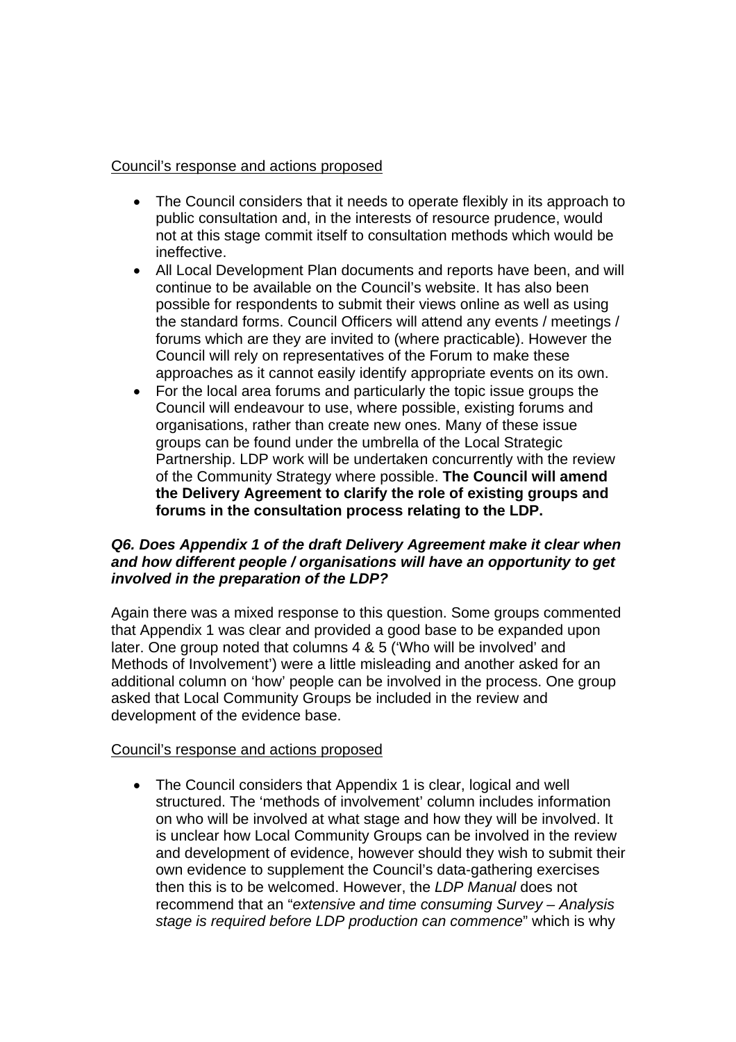# Council's response and actions proposed

- The Council considers that it needs to operate flexibly in its approach to public consultation and, in the interests of resource prudence, would not at this stage commit itself to consultation methods which would be ineffective.
- All Local Development Plan documents and reports have been, and will continue to be available on the Council's website. It has also been possible for respondents to submit their views online as well as using the standard forms. Council Officers will attend any events / meetings / forums which are they are invited to (where practicable). However the Council will rely on representatives of the Forum to make these approaches as it cannot easily identify appropriate events on its own.
- For the local area forums and particularly the topic issue groups the Council will endeavour to use, where possible, existing forums and organisations, rather than create new ones. Many of these issue groups can be found under the umbrella of the Local Strategic Partnership. LDP work will be undertaken concurrently with the review of the Community Strategy where possible. **The Council will amend the Delivery Agreement to clarify the role of existing groups and forums in the consultation process relating to the LDP.**

### *Q6. Does Appendix 1 of the draft Delivery Agreement make it clear when and how different people / organisations will have an opportunity to get involved in the preparation of the LDP?*

Again there was a mixed response to this question. Some groups commented that Appendix 1 was clear and provided a good base to be expanded upon later. One group noted that columns 4 & 5 ('Who will be involved' and Methods of Involvement') were a little misleading and another asked for an additional column on 'how' people can be involved in the process. One group asked that Local Community Groups be included in the review and development of the evidence base.

### Council's response and actions proposed

• The Council considers that Appendix 1 is clear, logical and well structured. The 'methods of involvement' column includes information on who will be involved at what stage and how they will be involved. It is unclear how Local Community Groups can be involved in the review and development of evidence, however should they wish to submit their own evidence to supplement the Council's data-gathering exercises then this is to be welcomed. However, the *LDP Manual* does not recommend that an "*extensive and time consuming Survey – Analysis stage is required before LDP production can commence*" which is why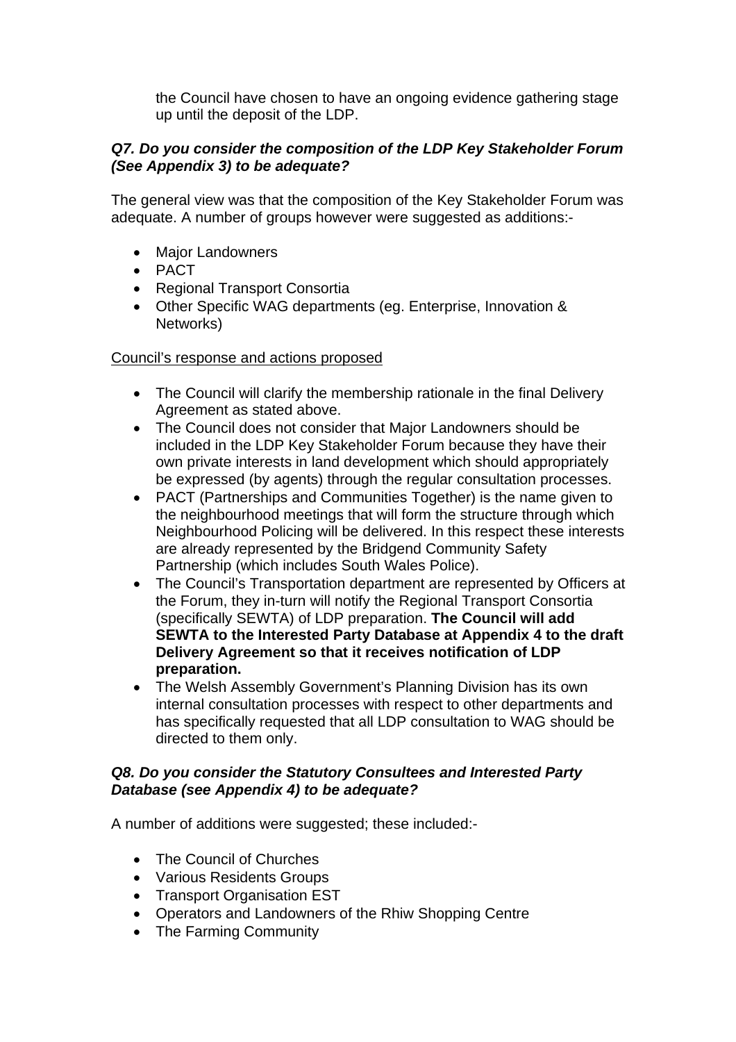the Council have chosen to have an ongoing evidence gathering stage up until the deposit of the LDP.

# *Q7. Do you consider the composition of the LDP Key Stakeholder Forum (See Appendix 3) to be adequate?*

The general view was that the composition of the Key Stakeholder Forum was adequate. A number of groups however were suggested as additions:-

- Major Landowners
- PACT
- Regional Transport Consortia
- Other Specific WAG departments (eg. Enterprise, Innovation & Networks)

# Council's response and actions proposed

- The Council will clarify the membership rationale in the final Delivery Agreement as stated above.
- The Council does not consider that Major Landowners should be included in the LDP Key Stakeholder Forum because they have their own private interests in land development which should appropriately be expressed (by agents) through the regular consultation processes.
- PACT (Partnerships and Communities Together) is the name given to the neighbourhood meetings that will form the structure through which Neighbourhood Policing will be delivered. In this respect these interests are already represented by the Bridgend Community Safety Partnership (which includes South Wales Police).
- The Council's Transportation department are represented by Officers at the Forum, they in-turn will notify the Regional Transport Consortia (specifically SEWTA) of LDP preparation. **The Council will add SEWTA to the Interested Party Database at Appendix 4 to the draft Delivery Agreement so that it receives notification of LDP preparation.**
- The Welsh Assembly Government's Planning Division has its own internal consultation processes with respect to other departments and has specifically requested that all LDP consultation to WAG should be directed to them only.

# *Q8. Do you consider the Statutory Consultees and Interested Party Database (see Appendix 4) to be adequate?*

A number of additions were suggested; these included:-

- The Council of Churches
- Various Residents Groups
- Transport Organisation EST
- Operators and Landowners of the Rhiw Shopping Centre
- The Farming Community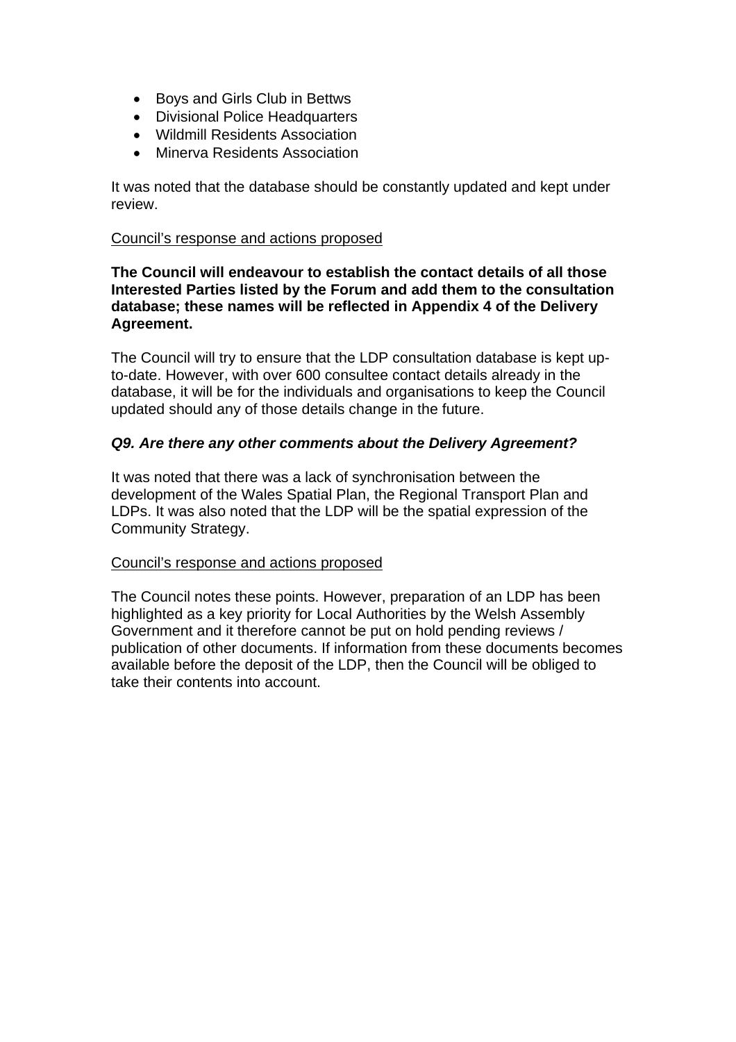- Boys and Girls Club in Bettws
- Divisional Police Headquarters
- Wildmill Residents Association
- Minerva Residents Association

It was noted that the database should be constantly updated and kept under review.

#### Council's response and actions proposed

**The Council will endeavour to establish the contact details of all those Interested Parties listed by the Forum and add them to the consultation database; these names will be reflected in Appendix 4 of the Delivery Agreement.** 

The Council will try to ensure that the LDP consultation database is kept upto-date. However, with over 600 consultee contact details already in the database, it will be for the individuals and organisations to keep the Council updated should any of those details change in the future.

#### *Q9. Are there any other comments about the Delivery Agreement?*

It was noted that there was a lack of synchronisation between the development of the Wales Spatial Plan, the Regional Transport Plan and LDPs. It was also noted that the LDP will be the spatial expression of the Community Strategy.

#### Council's response and actions proposed

The Council notes these points. However, preparation of an LDP has been highlighted as a key priority for Local Authorities by the Welsh Assembly Government and it therefore cannot be put on hold pending reviews / publication of other documents. If information from these documents becomes available before the deposit of the LDP, then the Council will be obliged to take their contents into account.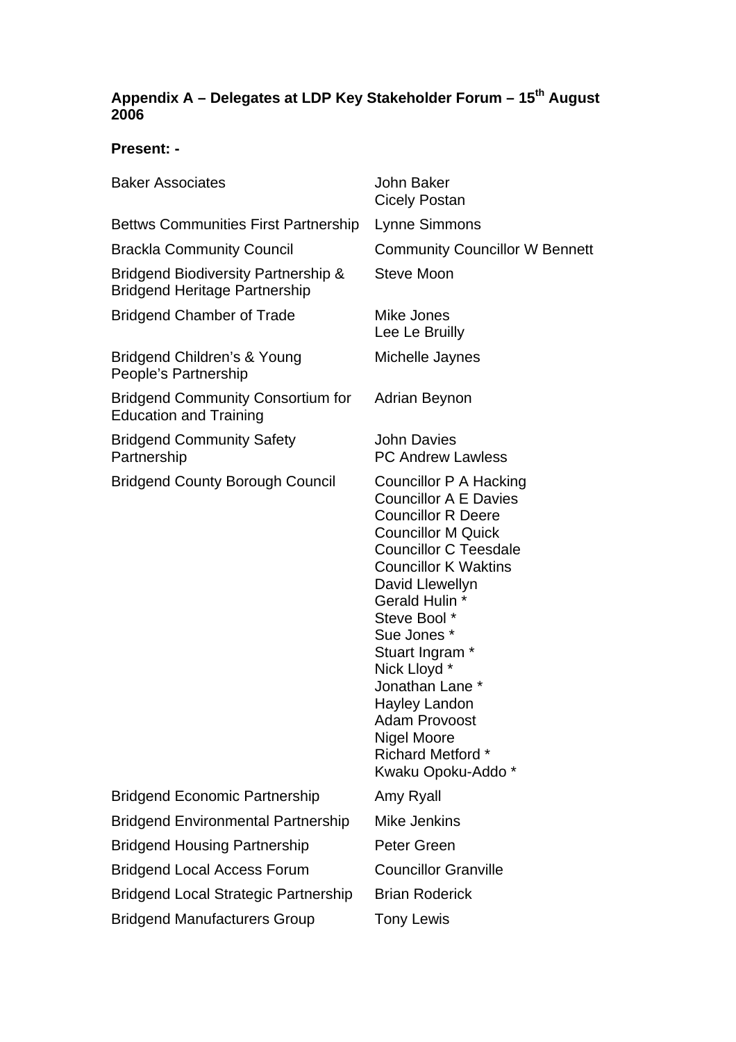# **Appendix A – Delegates at LDP Key Stakeholder Forum – 15th August 2006**

# **Present: -**

| <b>Baker Associates</b>                                                                | John Baker<br><b>Cicely Postan</b>                                                                                                                                                                                                                                                                                                                                                                                        |
|----------------------------------------------------------------------------------------|---------------------------------------------------------------------------------------------------------------------------------------------------------------------------------------------------------------------------------------------------------------------------------------------------------------------------------------------------------------------------------------------------------------------------|
| <b>Bettws Communities First Partnership</b>                                            | Lynne Simmons                                                                                                                                                                                                                                                                                                                                                                                                             |
| <b>Brackla Community Council</b>                                                       | <b>Community Councillor W Bennett</b>                                                                                                                                                                                                                                                                                                                                                                                     |
| <b>Bridgend Biodiversity Partnership &amp;</b><br><b>Bridgend Heritage Partnership</b> | <b>Steve Moon</b>                                                                                                                                                                                                                                                                                                                                                                                                         |
| <b>Bridgend Chamber of Trade</b>                                                       | Mike Jones<br>Lee Le Bruilly                                                                                                                                                                                                                                                                                                                                                                                              |
| Bridgend Children's & Young<br>People's Partnership                                    | Michelle Jaynes                                                                                                                                                                                                                                                                                                                                                                                                           |
| <b>Bridgend Community Consortium for</b><br><b>Education and Training</b>              | Adrian Beynon                                                                                                                                                                                                                                                                                                                                                                                                             |
| <b>Bridgend Community Safety</b><br>Partnership                                        | <b>John Davies</b><br><b>PC Andrew Lawless</b>                                                                                                                                                                                                                                                                                                                                                                            |
| <b>Bridgend County Borough Council</b>                                                 | Councillor P A Hacking<br><b>Councillor A E Davies</b><br><b>Councillor R Deere</b><br><b>Councillor M Quick</b><br><b>Councillor C Teesdale</b><br><b>Councillor K Waktins</b><br>David Llewellyn<br>Gerald Hulin *<br>Steve Bool *<br>Sue Jones *<br>Stuart Ingram *<br>Nick Lloyd *<br>Jonathan Lane *<br><b>Hayley Landon</b><br><b>Adam Provoost</b><br>Nigel Moore<br><b>Richard Metford *</b><br>Kwaku Opoku-Addo* |
| <b>Bridgend Economic Partnership</b>                                                   | Amy Ryall                                                                                                                                                                                                                                                                                                                                                                                                                 |
| <b>Bridgend Environmental Partnership</b>                                              | Mike Jenkins                                                                                                                                                                                                                                                                                                                                                                                                              |
| <b>Bridgend Housing Partnership</b>                                                    | Peter Green                                                                                                                                                                                                                                                                                                                                                                                                               |
| <b>Bridgend Local Access Forum</b>                                                     | <b>Councillor Granville</b>                                                                                                                                                                                                                                                                                                                                                                                               |
| <b>Bridgend Local Strategic Partnership</b>                                            | <b>Brian Roderick</b>                                                                                                                                                                                                                                                                                                                                                                                                     |
| <b>Bridgend Manufacturers Group</b>                                                    | <b>Tony Lewis</b>                                                                                                                                                                                                                                                                                                                                                                                                         |
|                                                                                        |                                                                                                                                                                                                                                                                                                                                                                                                                           |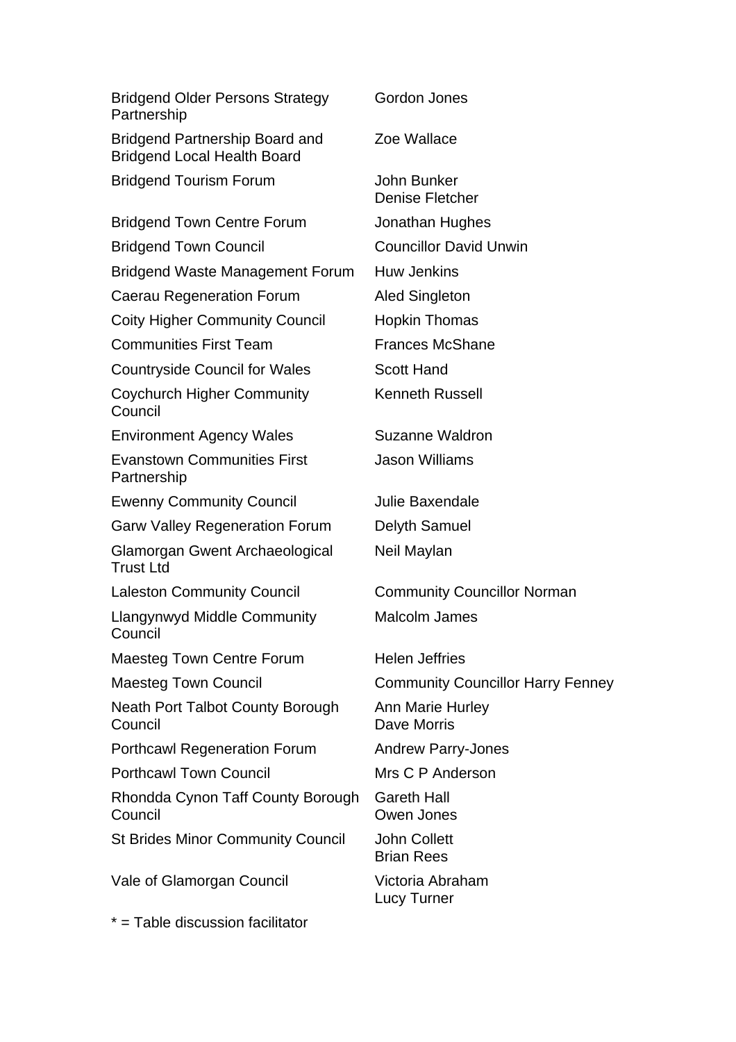| <b>Bridgend Older Persons Strategy</b><br>Partnership                       | Gordon Jones                             |
|-----------------------------------------------------------------------------|------------------------------------------|
| <b>Bridgend Partnership Board and</b><br><b>Bridgend Local Health Board</b> | Zoe Wallace                              |
| <b>Bridgend Tourism Forum</b>                                               | John Bunker<br><b>Denise Fletcher</b>    |
| <b>Bridgend Town Centre Forum</b>                                           | Jonathan Hughes                          |
| <b>Bridgend Town Council</b>                                                | <b>Councillor David Unwin</b>            |
| <b>Bridgend Waste Management Forum</b>                                      | <b>Huw Jenkins</b>                       |
| Caerau Regeneration Forum                                                   | <b>Aled Singleton</b>                    |
| <b>Coity Higher Community Council</b>                                       | <b>Hopkin Thomas</b>                     |
| <b>Communities First Team</b>                                               | <b>Frances McShane</b>                   |
| <b>Countryside Council for Wales</b>                                        | <b>Scott Hand</b>                        |
| <b>Coychurch Higher Community</b><br>Council                                | <b>Kenneth Russell</b>                   |
| <b>Environment Agency Wales</b>                                             | Suzanne Waldron                          |
| <b>Evanstown Communities First</b><br>Partnership                           | <b>Jason Williams</b>                    |
| <b>Ewenny Community Council</b>                                             | Julie Baxendale                          |
| <b>Garw Valley Regeneration Forum</b>                                       | Delyth Samuel                            |
| Glamorgan Gwent Archaeological<br><b>Trust Ltd</b>                          | Neil Maylan                              |
| <b>Laleston Community Council</b>                                           | <b>Community Councillor Norman</b>       |
| <b>Llangynwyd Middle Community</b><br>Council                               | <b>Malcolm James</b>                     |
| Maesteg Town Centre Forum                                                   | <b>Helen Jeffries</b>                    |
| <b>Maesteg Town Council</b>                                                 | <b>Community Councillor Harry Fenney</b> |
| Neath Port Talbot County Borough<br>Council                                 | Ann Marie Hurley<br>Dave Morris          |
| <b>Porthcawl Regeneration Forum</b>                                         | <b>Andrew Parry-Jones</b>                |
| <b>Porthcawl Town Council</b>                                               | Mrs C P Anderson                         |
| Rhondda Cynon Taff County Borough<br>Council                                | <b>Gareth Hall</b><br>Owen Jones         |
| <b>St Brides Minor Community Council</b>                                    | <b>John Collett</b><br><b>Brian Rees</b> |
| Vale of Glamorgan Council                                                   | Victoria Abraham<br><b>Lucy Turner</b>   |
| * = Table discussion facilitator                                            |                                          |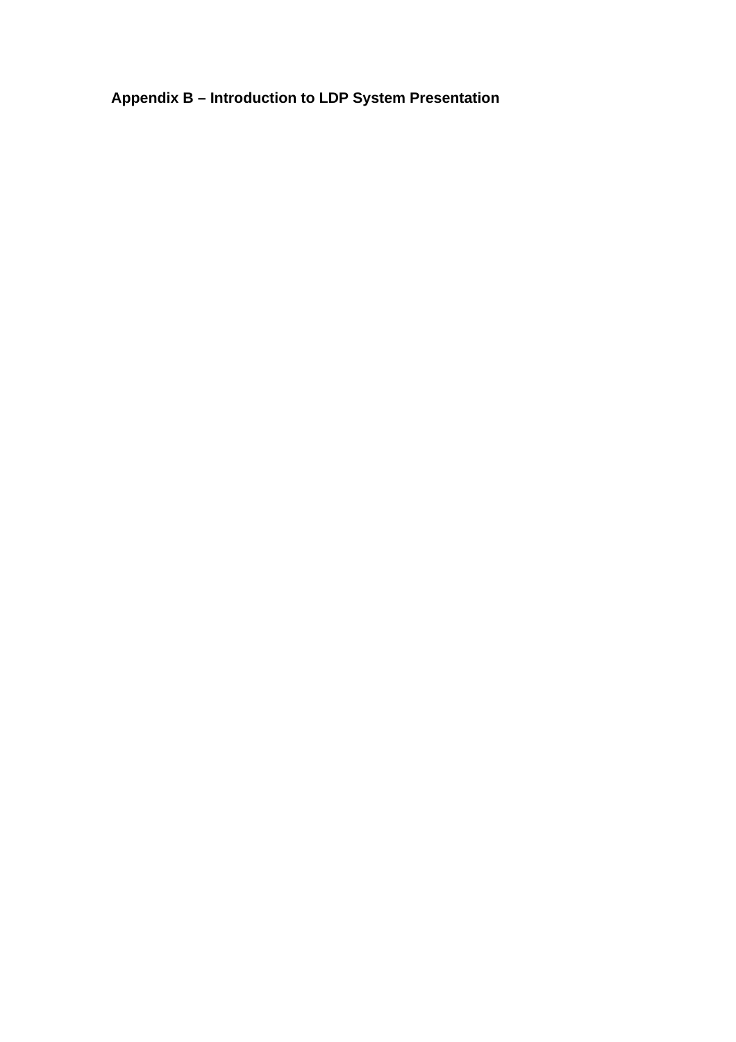**Appendix B – Introduction to LDP System Presentation**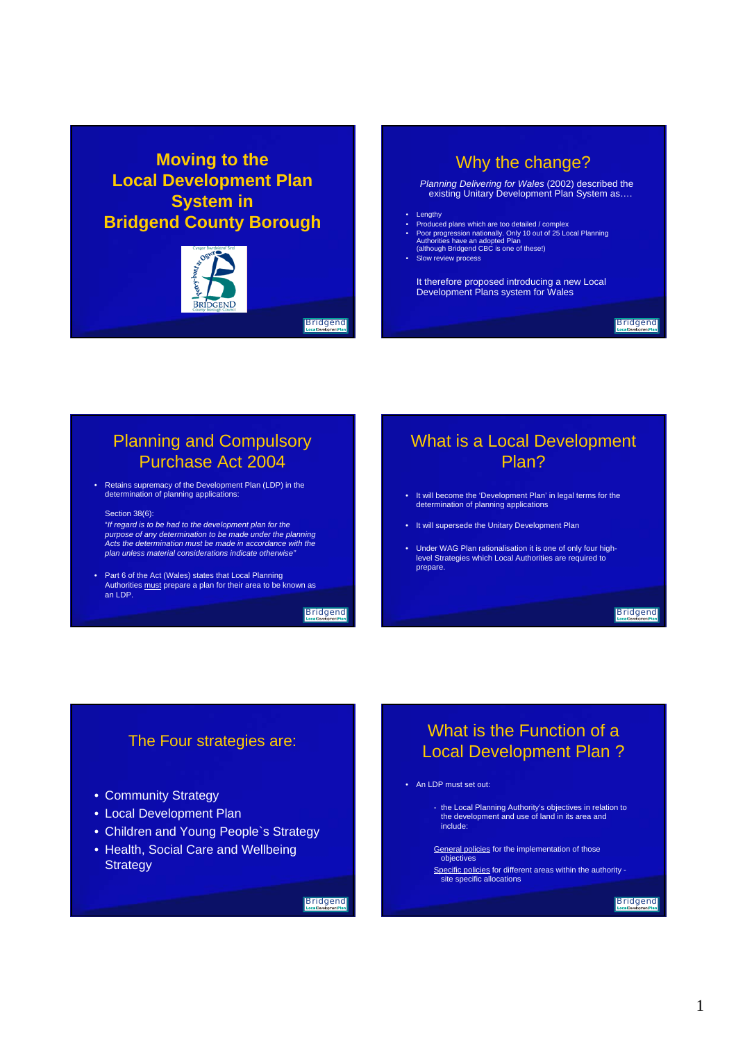# **Moving to the Local Development Plan System in Bridgend County Borough**



**Bridgend** 

# Why the change?

*Planning Delivering for Wales* (2002) described the existing Unitary Development Plan System as….

- 
- Lengthy Produced plans which are too detailed / complex Poor progression nationally. Only 10 out of 25 Local Planning Authorities have an adopted Plan (although Bridgend CBC is one of these!)
- Slow review process
- 

It therefore proposed introducing a new Local Development Plans system for Wales

#### **Bridgend**

# Planning and Compulsory Purchase Act 2004

• Retains supremacy of the Development Plan (LDP) in the determination of planning applications:

#### Section 38(6):

"*If regard is to be had to the development plan for the purpose of any determination to be made under the planning Acts the determination must be made in accordance with the plan unless material considerations indicate otherwise"*

• Part 6 of the Act (Wales) states that Local Planning<br>Authorities must prepare a plan for their area to be known as<br>an LDP.

**Bridgend** 

# What is a Local Development Plan?

- It will become the 'Development Plan' in legal terms for the determination of planning applications
- It will supersede the Unitary Development Plan
- Under WAG Plan rationalisation it is one of only four high-level Strategies which Local Authorities are required to prepare.

#### **Bridgend**

## The Four strategies are:

- Community Strategy
- Local Development Plan
- Children and Young People`s Strategy
- Health, Social Care and Wellbeing **Strategy**

#### **Bridgend**

# What is the Function of a Local Development Plan ?

#### • An LDP must set out:

- the Local Planning Authority's objectives in relation to the development and use of land in its area and include:

General policies for the implementation of those

objectives Specific policies for different areas within the authority site specific allocations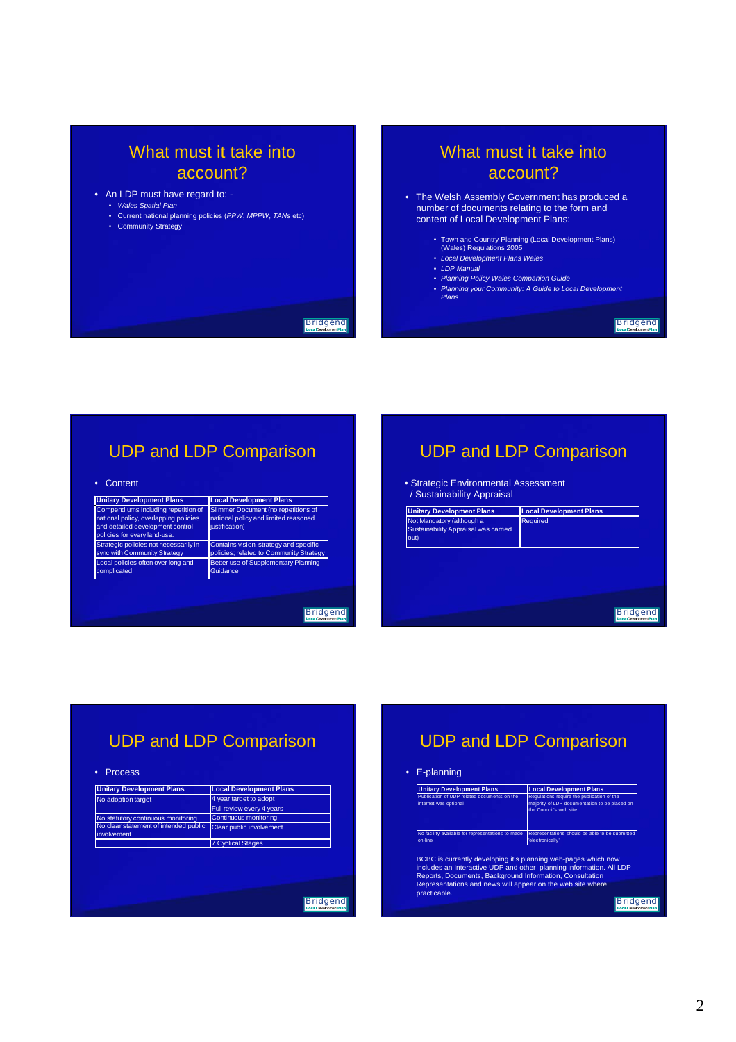# What must it take into account?

#### • An LDP must have regard to: -

- *Wales Spatial Plan*
	- Current national planning policies (*PPW*, *MPPW*, *TAN*s etc)
	- Community Strategy

# What must it take into account?

• The Welsh Assembly Government has produced a number of documents relating to the form and content of Local Development Plans:

- Town and Country Planning (Local Development Plans) (Wales) Regulations 2005
- *Local Development Plans Wales*
- *LDP Manual*
- *Planning Policy Wales Companion Guide*
- *Planning your Community: A Guide to Local Development Plans*

#### **Bridgend**

# UDP and LDP Comparison

#### • Content

| <b>Unitary Development Plans</b>                                                                                                                 | <b>Local Development Plans</b>                                                                |
|--------------------------------------------------------------------------------------------------------------------------------------------------|-----------------------------------------------------------------------------------------------|
| Compendiums including repetition of<br>national policy, overlapping policies<br>and detailed development control<br>policies for every land-use. | Slimmer Document (no repetitions of<br>national policy and limited reasoned<br>iustification) |
| Strategic policies not necessarily in                                                                                                            | Contains vision, strategy and specific                                                        |
| sync with Community Strategy                                                                                                                     | policies; related to Community Strategy                                                       |
| Local policies often over long and                                                                                                               | Better use of Supplementary Planning                                                          |
| complicated                                                                                                                                      | Guidance                                                                                      |

#### **Bridgend**

**Bridgend** 

# UDP and LDP Comparison

• Strategic Environmental Assessment / Sustainability Appraisal

| <b>Local Development Plans</b> |  |
|--------------------------------|--|
| Required                       |  |
|                                |  |
|                                |  |
|                                |  |
|                                |  |
|                                |  |

# UDP and LDP Comparison

#### • Process

| <b>Unitary Development Plans</b>                     | <b>Local Development Plans</b>          |
|------------------------------------------------------|-----------------------------------------|
| No adoption target                                   | 4 year target to adopt                  |
|                                                      | Full review every 4 years               |
| No statutory continuous monitoring                   | Continuous monitoring                   |
| No clear statement of intended public<br>involvement | Clear public involvement                |
|                                                      | <b>7 Cyclical Stages</b>                |
|                                                      |                                         |
|                                                      | <b>Bridgend</b><br>LocalDevelopmentPlan |

# UDP and LDP Comparison

#### • E-planning

| <b>Unitary Development Plans</b>                                     | <b>Local Development Plans</b>                                                                                        |
|----------------------------------------------------------------------|-----------------------------------------------------------------------------------------------------------------------|
| Publication of UDP related documents on the<br>internet was optional | Regulations require the publication of the<br>majority of LDP documentation to be placed on<br>the Council's web site |
| No facility available for representations to made<br>on-line         | Representations should be able to be submitted<br>'electronically'                                                    |

BCBC is currently developing it's planning web-pages which now<br>includes an Interactive UDP and other planning information. All LDP<br>Reports, Documents, Background Information, Consultation<br>Representations and news will appe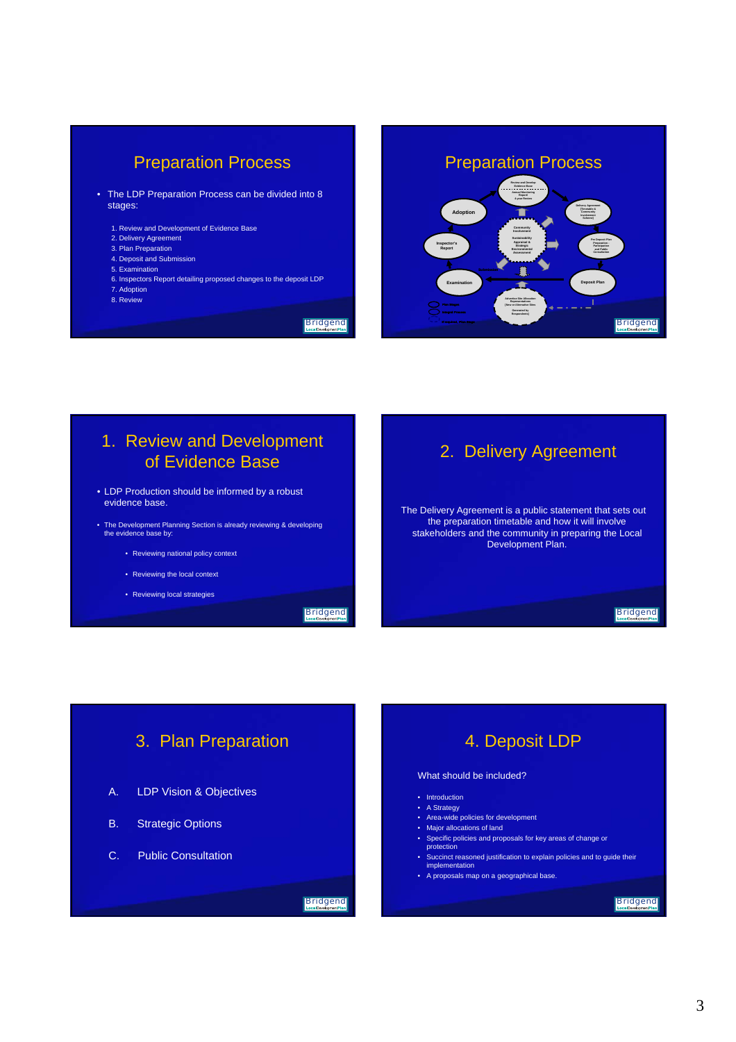# Preparation Process

- The LDP Preparation Process can be divided into 8 stages:
	- 1. Review and Development of Evidence Base
	- 2. Delivery Agreement
	- 3. Plan Preparation 4. Deposit and Submission
	- 5. Examination
	-
	- 6. Inspectors Report detailing proposed changes to the deposit LDP 7. Adoption
	- 8. Review

**Bridgend** 



# 1. Review and Development of Evidence Base

- LDP Production should be informed by a robust evidence base.
- The Development Planning Section is already reviewing & developing the evidence base by:
	- Reviewing national policy context
	- Reviewing the local context
	- Reviewing local strategies

**Bridgend** 

# 2. Delivery Agreement

The Delivery Agreement is a public statement that sets out the preparation timetable and how it will involve stakeholders and the community in preparing the Local Development Plan.

**Bridgend** 

# 3. Plan Preparation

- A. LDP Vision & Objectives
- B. Strategic Options
- C. Public Consultation

#### **Bridgend**

# 4. Deposit LDP

#### What should be included?

- Introduction
- A Strategy
- Area-wide policies for development
- Major allocations of land
- Specific policies and proposals for key areas of change or protection
- Succinct reasoned justification to explain policies and to guide their implementation
- A proposals map on a geographical base.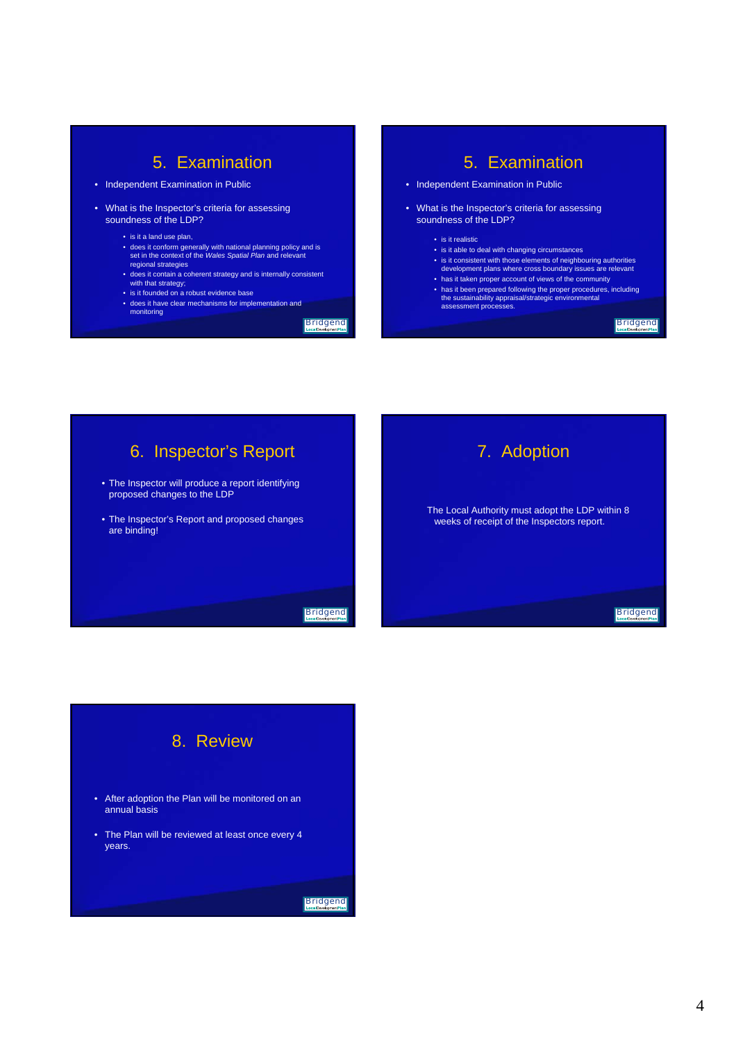# 5. Examination

- Independent Examination in Public
- What is the Inspector's criteria for assessing soundness of the LDP?
	- is it a land use plan,
	- does it conform generally with national planning policy and is set in the context of the *Wales Spatial Plan* and relevant regional strategies
	- does it contain a coherent strategy and is internally consistent with that strategy;
	- is it founded on a robust evidence base
	- does it have clear mechanisms for implementation and monitoring

**Bridgend** 

# 5. Examination

- Independent Examination in Public
- What is the Inspector's criteria for assessing soundness of the LDP?
	- is it realistic
	- is it able to deal with changing circumstances
	- is it consistent with those elements of neighbouring authorities development plans where cross boundary issues are relevant
	- has it taken proper account of views of the community • has it been prepared following the proper procedures, including the sustainability appraisal/strategic environmental assessment processes.

**Bridgend** 

# 6. Inspector's Report

- The Inspector will produce a report identifying proposed changes to the LDP
- The Inspector's Report and proposed changes are binding!





# 8. Review

- After adoption the Plan will be monitored on an annual basis
- The Plan will be reviewed at least once every 4 years.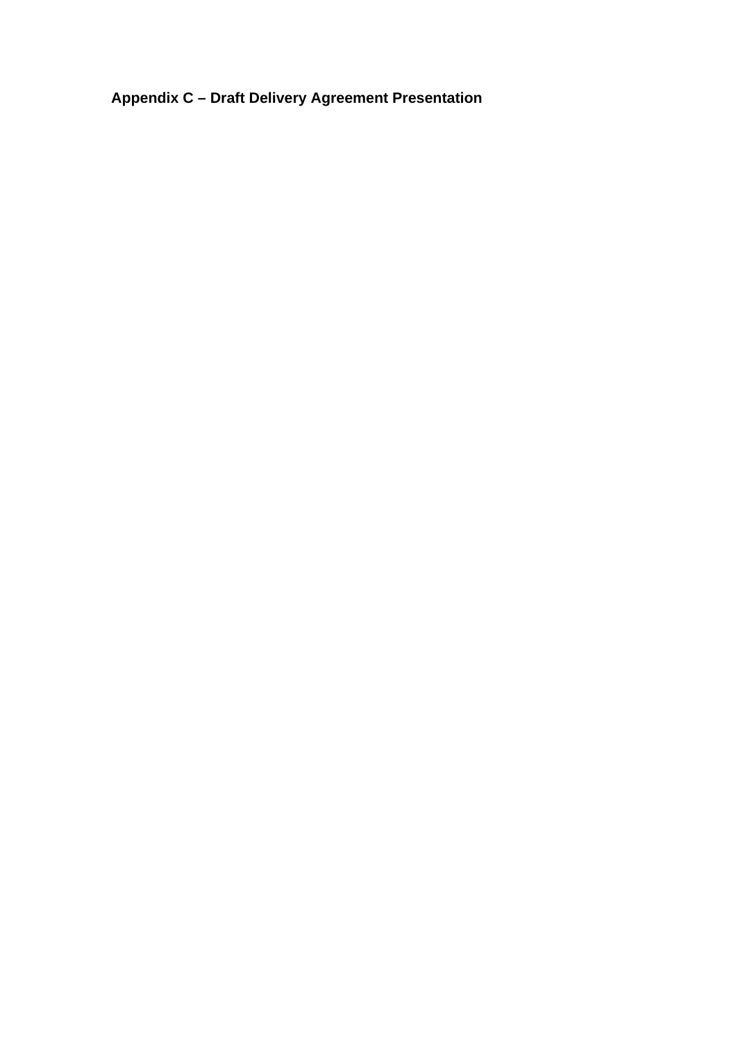**Appendix C – Draft Delivery Agreement Presentation**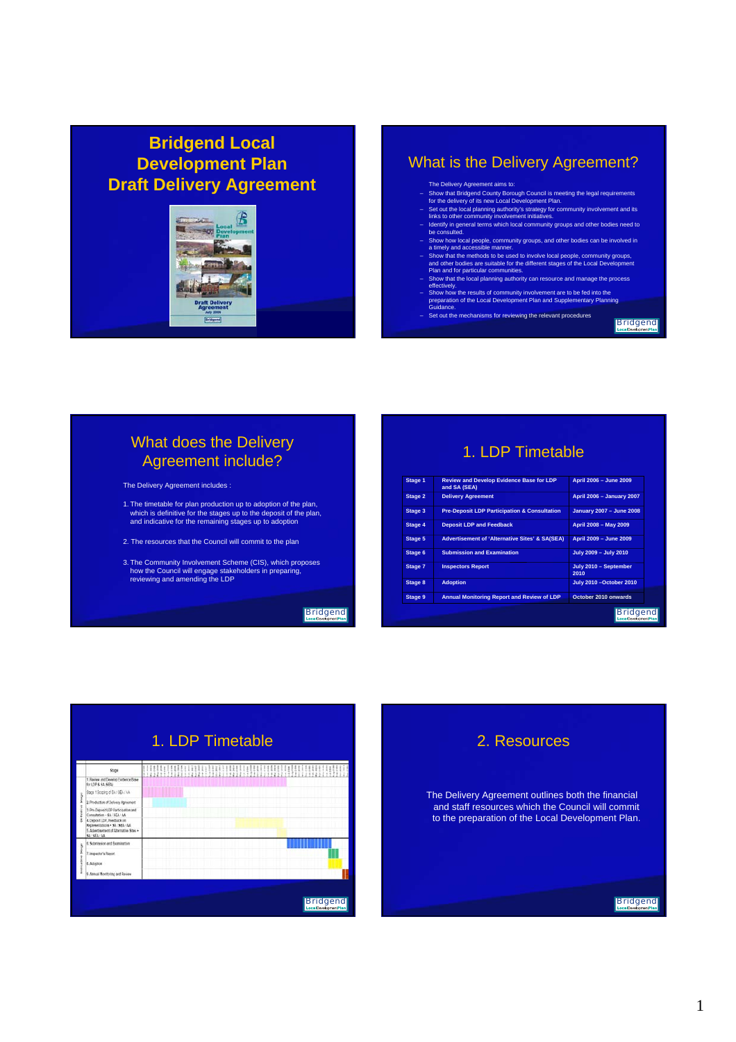# **Bridgend Local Development Plan Draft Delivery Agreement**



#### What is the Delivery Agreement?

The Delivery Agreement aims to:

- 
- 
- Show that Bridgend County Borough Council is meeting the legal requirements<br>for the delivery of its new Local Development Plan.<br>- Set out the local planning authority's strategy for community involvement and its<br>- lentif
- Show how local people, community groups, and other bodies can be involved in a timely and accessible manner.
- Show that the methods to be used to involve local people, community groups,<br>and other bodies are suitable for the different stages of the Local Development<br>Plan and for particular communities.<br>Then and for particular commu
- 
- 
- Set out the mechanisms for reviewing the relevant procedures

**Bridgend** 

# What does the Delivery Agreement include?

The Delivery Agreement includes :

- 1. The timetable for plan production up to adoption of the plan, which is definitive for the stages up to the deposit of the plan, and indicative for the remaining stages up to adoption
- 2. The resources that the Council will commit to the plan
- 3. The Community Involvement Scheme (CIS), which proposes how the Council will engage stakeholders in preparing, reviewing and amending the LDP

**Bridgend** 

# 1. LDP Timetable

| Stage 1        | <b>Review and Develop Evidence Base for LDP</b><br>and SA (SEA) | April 2006 - June 2009          |
|----------------|-----------------------------------------------------------------|---------------------------------|
| Stage 2        | <b>Delivery Agreement</b>                                       | April 2006 - January 2007       |
| Stage 3        | <b>Pre-Deposit LDP Participation &amp; Consultation</b>         | January 2007 - June 2008        |
| Stage 4        | <b>Deposit LDP and Feedback</b>                                 | April 2008 - May 2009           |
| Stage 5        | <b>Advertisement of 'Alternative Sites' &amp; SA(SEA)</b>       | April 2009 - June 2009          |
| Stage 6        | <b>Submission and Examination</b>                               | July 2009 - July 2010           |
| Stage 7        | <b>Inspectors Report</b>                                        | July 2010 - September<br>2010   |
| Stage 8        | <b>Adoption</b>                                                 | <b>July 2010 - October 2010</b> |
| <b>Stage 9</b> | <b>Annual Monitoring Report and Review of LDP</b>               | October 2010 onwards            |

# 1. LDP Timetable

|                   | <b>Stage</b>                                                                                                                                                                                                                                    |  |  |  | 电电阻 |  |  | <b>HHHH!</b> |  |  |  |  |  |  |  |  |  |                 |  |  |
|-------------------|-------------------------------------------------------------------------------------------------------------------------------------------------------------------------------------------------------------------------------------------------|--|--|--|-----|--|--|--------------|--|--|--|--|--|--|--|--|--|-----------------|--|--|
|                   | 1. Review and Develop Evidence Base<br>for LDP & SA (SEA)                                                                                                                                                                                       |  |  |  |     |  |  |              |  |  |  |  |  |  |  |  |  |                 |  |  |
|                   | Stage 1 Broping of BA/ SEA / AA                                                                                                                                                                                                                 |  |  |  |     |  |  |              |  |  |  |  |  |  |  |  |  |                 |  |  |
| Sheeper<br>t<br>k | 2. Production of Delivery Agreement<br>3. Pre-Deposit LDP Participation and<br>Consultation - SA   SEA   JA<br>4. Deposit LDP, Faedback on<br>Representations . SA : SEA / AA<br>5. Advertisement of Attemative Sites .<br><b>SA ' SEA ' AA</b> |  |  |  |     |  |  |              |  |  |  |  |  |  |  |  |  |                 |  |  |
| Stage<br>St<br>÷  | If. Submission and Examination<br>7. Inspector's Report<br>L. Adoption<br>Annual Monitoring and Review                                                                                                                                          |  |  |  |     |  |  |              |  |  |  |  |  |  |  |  |  |                 |  |  |
|                   |                                                                                                                                                                                                                                                 |  |  |  |     |  |  |              |  |  |  |  |  |  |  |  |  | <b>Bridgend</b> |  |  |



The Delivery Agreement outlines both the financial and staff resources which the Council will commit to the preparation of the Local Development Plan.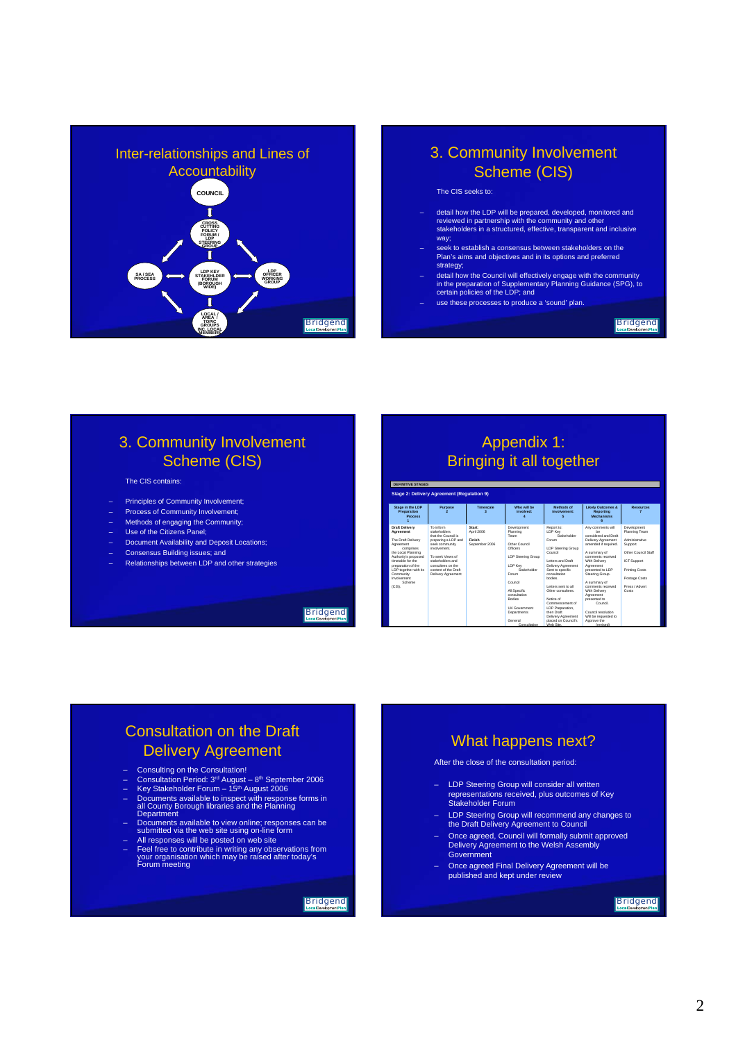

#### 3. Community Involvement Scheme (CIS)

The CIS seeks to:

- detail how the LDP will be prepared, developed, monitored and reviewed in partnership with the community and other stakeholders in a structured, effective, transparent and inclusive way;
- seek to establish a consensus between stakeholders on the Plan's aims and objectives and in its options and preferred strategy;
- detail how the Council will effectively engage with the community in the preparation of Supplementary Planning Guidance (SPG), to certain policies of the LDP; and
- use these processes to produce a 'sound' plan.

**Bridgend** 

# 3. Community Involvement Scheme (CIS)

#### The CIS contains:

- Principles of Community Involvement;
- Process of Community Involvement;
- Methods of engaging the Community;
- Use of the Citizens Panel; – Document Availability and Deposit Locations;
- Consensus Building issues; and
- Relationships between LDP and other strategies
	-

**Bridgend** 

# Appendix 1: Bringing it all together

| <b>DEFINITIVE STAGES</b>                                                                                                                                                                                                                             |                                                                                                                                                                                                                     |                                                              |                                                                                                                                                                                                                                             |                                                                                                                                                                                                                                                                                                                                                  |                                                                                                                                                                                                                                                                                                                                                                     |                                                                                                                                                                      |
|------------------------------------------------------------------------------------------------------------------------------------------------------------------------------------------------------------------------------------------------------|---------------------------------------------------------------------------------------------------------------------------------------------------------------------------------------------------------------------|--------------------------------------------------------------|---------------------------------------------------------------------------------------------------------------------------------------------------------------------------------------------------------------------------------------------|--------------------------------------------------------------------------------------------------------------------------------------------------------------------------------------------------------------------------------------------------------------------------------------------------------------------------------------------------|---------------------------------------------------------------------------------------------------------------------------------------------------------------------------------------------------------------------------------------------------------------------------------------------------------------------------------------------------------------------|----------------------------------------------------------------------------------------------------------------------------------------------------------------------|
|                                                                                                                                                                                                                                                      | <b>Stage 2: Delivery Agreement (Regulation 9)</b>                                                                                                                                                                   |                                                              |                                                                                                                                                                                                                                             |                                                                                                                                                                                                                                                                                                                                                  |                                                                                                                                                                                                                                                                                                                                                                     |                                                                                                                                                                      |
| Stage in the LDP<br>Preparation<br><b>Process</b>                                                                                                                                                                                                    | Purpose                                                                                                                                                                                                             | Timescale                                                    | Who will be<br>involved:                                                                                                                                                                                                                    | Methods of<br>involvement:                                                                                                                                                                                                                                                                                                                       | <b>Likely Outcomes &amp;</b><br>Reporting<br>Mechanisms                                                                                                                                                                                                                                                                                                             | Resources                                                                                                                                                            |
| <b>Draft Delivery</b><br>Agreement<br>The Draft Delivery<br>Agreement<br>comprises<br>the Local Planning<br>Authority's proposed<br>timetable for the<br>preparation of the<br>LDP together with its<br>Community<br>Involvement<br>Scheme<br>(CIS). | To inform<br>stakeholders<br>that the Council is<br>preparing a LDP and<br>seek community<br>involvement<br>To seek Views of<br>stakeholders and<br>consultees on the<br>content of the Draft<br>Delivery Agreement | Start <sup>-</sup><br>April 2006<br>Finish<br>September 2006 | Development<br>Planning<br>Team<br>Other Council<br>Officers<br><b>LDP Steering Group</b><br>LDP Kev<br>Stakeholder<br>Forum<br>Council<br>All Specific<br>consultation<br><b>Rodins</b><br><b>LIK Government</b><br>Departments<br>General | Report to:<br>LDP Kev<br>Stakeholder<br>Forum<br><b>LDP Steering Group</b><br>Council<br>Letters and Draft<br>Delivery Agreement<br>Sent to specific<br>consultation<br><b>hodies</b><br>I etters sent to all<br>Other consultees<br>Notice of<br>Commencement of<br>LDP Preparation.<br>then Draft<br>Delivery Agreement<br>nlaced on Council's | Any comments will<br>he<br>considered and Draft<br>Delivery Agreement<br>amended if required.<br>A summary of<br>comments received.<br>With Delivery<br>Agreement<br>presented to LDP<br>Steering Group.<br>A summary of<br>comments received.<br>With Delivery<br>Agreement<br>presented to<br>Council<br>Council resolution<br>Will be requested to<br>Announ the | Development<br>Planning Team<br>Administrative<br>Support<br>Other Council Staff<br><b>ICT Support</b><br>Printing Costs<br>Postage Costs<br>Press / Advert<br>Costs |

Consultation

Web Site.

# Consultation on the Draft Delivery Agreement

- 
- Consulting on the Consultation!<br>– Consultation Period: 3ª August 8ʰ September 2006<br>– Key Stakeholder Forum 15ʰ August 2006
- 
- Documents available to inspect with response forms in all County Borough libraries and the Planning Department
- Documents available to view online; responses can be submitted via the web site using on-line form All responses will be posted on web site
- Feel free to contribute in writing any observations from your organisation which may be raised after today's Forum meeting

**Bridgend** 

### What happens next?

After the close of the consultation period:

- LDP Steering Group will consider all written representations received, plus outcomes of Key Stakeholder Forum
- LDP Steering Group will recommend any changes to the Draft Delivery Agreement to Council
- Once agreed, Council will formally submit approved Delivery Agreement to the Welsh Assembly Government
- Once agreed Final Delivery Agreement will be published and kept under review

**Bridgend** 

(revised)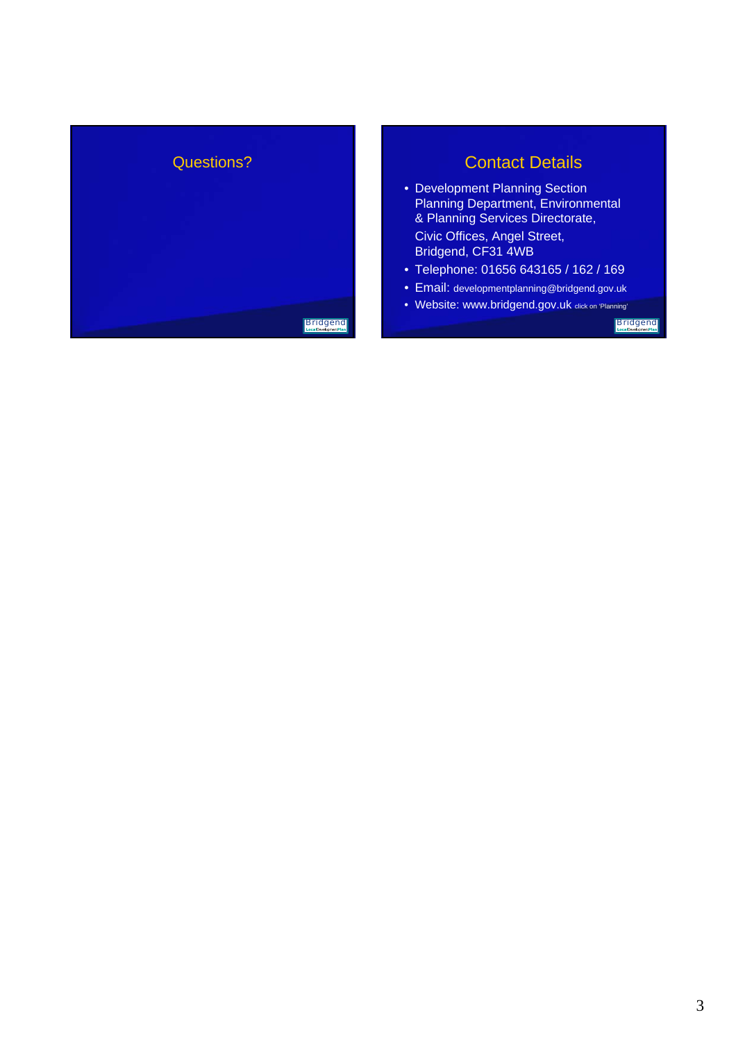

# Contact Details

• Development Planning Section Planning Department, Environmental & Planning Services Directorate,

Bridgend, CF31 4WB

- Telephone: 01656 643165 / 162 / 169
- Email: developmentplanning@bridgend.gov.uk
- Website: www.bridgend.gov.uk click on 'Planning'